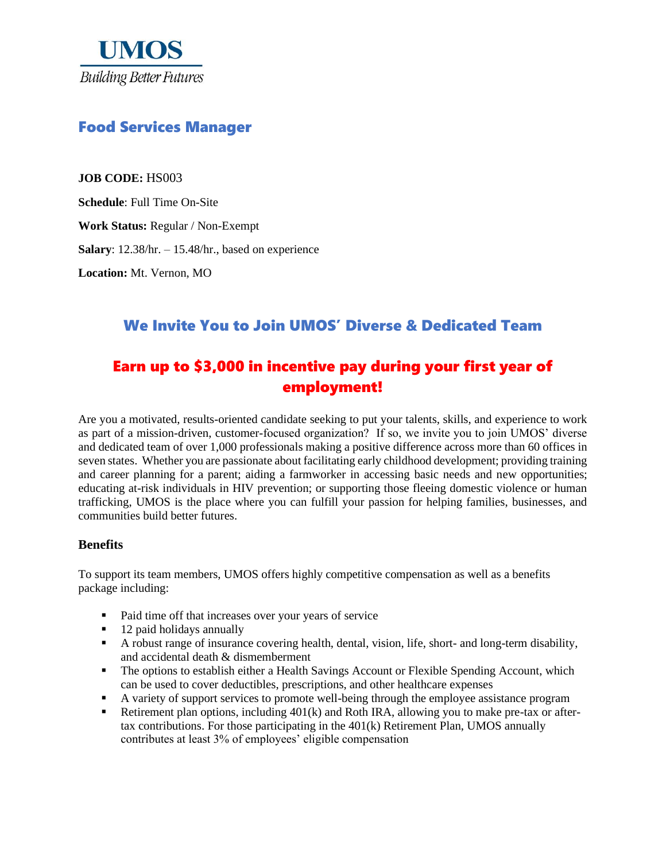

# Food Services Manager

**JOB CODE:** HS003

**Schedule**: Full Time On-Site

**Work Status:** Regular / Non-Exempt

**Salary**: 12.38/hr. – 15.48/hr., based on experience

**Location:** Mt. Vernon, MO

## We Invite You to Join UMOS' Diverse & Dedicated Team

# Earn up to \$3,000 in incentive pay during your first year of employment!

Are you a motivated, results-oriented candidate seeking to put your talents, skills, and experience to work as part of a mission-driven, customer-focused organization? If so, we invite you to join UMOS' diverse and dedicated team of over 1,000 professionals making a positive difference across more than 60 offices in seven states. Whether you are passionate about facilitating early childhood development; providing training and career planning for a parent; aiding a farmworker in accessing basic needs and new opportunities; educating at-risk individuals in HIV prevention; or supporting those fleeing domestic violence or human trafficking, UMOS is the place where you can fulfill your passion for helping families, businesses, and communities build better futures.

#### **Benefits**

To support its team members, UMOS offers highly competitive compensation as well as a benefits package including:

- Paid time off that increases over your years of service
- 12 paid holidays annually
- A robust range of insurance covering health, dental, vision, life, short- and long-term disability, and accidental death & dismemberment
- **•** The options to establish either a Health Savings Account or Flexible Spending Account, which can be used to cover deductibles, prescriptions, and other healthcare expenses
- A variety of support services to promote well-being through the employee assistance program
- Retirement plan options, including 401(k) and Roth IRA, allowing you to make pre-tax or aftertax contributions. For those participating in the  $401(k)$  Retirement Plan, UMOS annually contributes at least 3% of employees' eligible compensation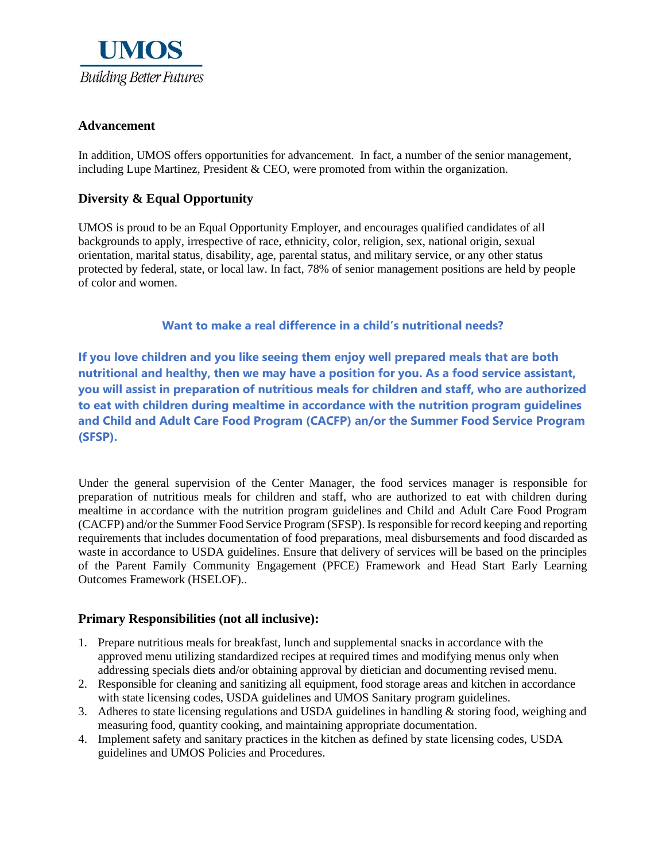

### **Advancement**

In addition, UMOS offers opportunities for advancement. In fact, a number of the senior management, including Lupe Martinez, President  $\&$  CEO, were promoted from within the organization.

#### **Diversity & Equal Opportunity**

UMOS is proud to be an Equal Opportunity Employer, and encourages qualified candidates of all backgrounds to apply, irrespective of race, ethnicity, color, religion, sex, national origin, sexual orientation, marital status, disability, age, parental status, and military service, or any other status protected by federal, state, or local law. In fact, 78% of senior management positions are held by people of color and women.

**Want to make a real difference in a child's nutritional needs?**

**If you love children and you like seeing them enjoy well prepared meals that are both nutritional and healthy, then we may have a position for you. As a food service assistant, you will assist in preparation of nutritious meals for children and staff, who are authorized to eat with children during mealtime in accordance with the nutrition program guidelines and Child and Adult Care Food Program (CACFP) an/or the Summer Food Service Program (SFSP).**

Under the general supervision of the Center Manager, the food services manager is responsible for preparation of nutritious meals for children and staff, who are authorized to eat with children during mealtime in accordance with the nutrition program guidelines and Child and Adult Care Food Program (CACFP) and/or the Summer Food Service Program (SFSP). Is responsible for record keeping and reporting requirements that includes documentation of food preparations, meal disbursements and food discarded as waste in accordance to USDA guidelines. Ensure that delivery of services will be based on the principles of the Parent Family Community Engagement (PFCE) Framework and Head Start Early Learning Outcomes Framework (HSELOF)..

#### **Primary Responsibilities (not all inclusive):**

- 1. Prepare nutritious meals for breakfast, lunch and supplemental snacks in accordance with the approved menu utilizing standardized recipes at required times and modifying menus only when addressing specials diets and/or obtaining approval by dietician and documenting revised menu.
- 2. Responsible for cleaning and sanitizing all equipment, food storage areas and kitchen in accordance with state licensing codes, USDA guidelines and UMOS Sanitary program guidelines.
- 3. Adheres to state licensing regulations and USDA guidelines in handling & storing food, weighing and measuring food, quantity cooking, and maintaining appropriate documentation.
- 4. Implement safety and sanitary practices in the kitchen as defined by state licensing codes, USDA guidelines and UMOS Policies and Procedures.